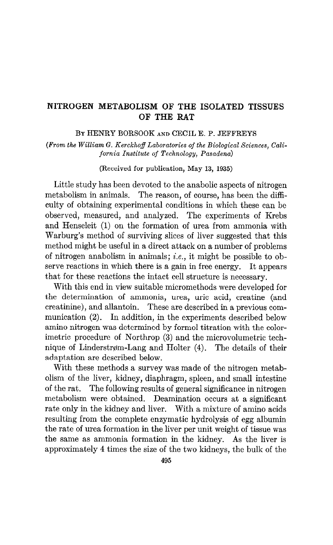## NITROGEN METABOLISM OF THE ISOLATED TISSUES OF THE RAT

### BY HENRY BORSOOK AND CECIL E. P. JEFFREYS

(From the William G. Kerckhoff Laboratories of the Biological Sciences, California Institute of Technology, Pasadena)

(Received for publication, May 13, 1935)

Little study has been devoted to the anabolic aspects of nitrogen metabolism in animals. The reason, of course, has been the difhculty of obtaining experimental conditions in which these can be observed, measured, and analyzed. The experiments of Krebs and Henseleit (1) on the formation of urea from ammonia with Warburg's method of surviving slices of liver suggested that this method might be useful in a direct attack on a number of problems of nitrogen anabolism in animals; *i.e.*, it might be possible to observe reactions in which there is a gain in free energy. It appears that for these reactions the intact cell structure is necessary.

With this end in view suitable micromethods were developed for the determination of ammonia, urea, uric acid, creatine (and creatinine), and allantoin. These are described in a previous communication (2). In addition, in the experiments described below amino nitrogen was determined by formol titration with the colorimetric procedure of Northrop (3) and the microvolumetric technique of Linderstrøm-Lang and Holter (4). The details of their adaptation are described below.

With these methods a survey was made of the nitrogen metabolism of the liver, kidney, diaphragm, spleen, and small intestine of the rat. The following results of general significance in nitrogen metabolism were obtained. Deamination occurs at a significant rate only in the kidney and liver. With a mixture of amino acids resulting from the complete enzymatic hydrolysis of egg albumin the rate of urea formation in the liver per unit weight of tissue was the same as ammonia formation in the kidney. As the liver is approximately 4 times the size of the two kidneys, the bulk of the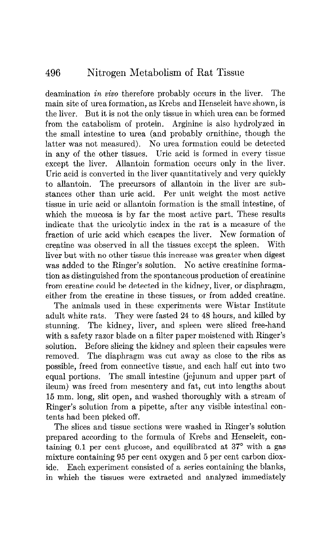deamination in vivo therefore probably occurs in the liver. The main site of urea formation, as Krebs and Henseleit have shown, is the liver. But it is not the only tissue in which urea can be formed from the catabolism of protein. Arginine is also hydrolyzed in the small intestine to urea (and probably ornithine, though the latter was not measured). No urea formation could be detected in any of the other tissues. Uric acid is formed in every tissue except the liver. Allantoin formation occurs only in the liver. Uric acid is converted in the liver quantitatively and very quickly to allantoin. The precursors of allantoin in the liver are substances other than uric acid. Per unit weight the most active tissue in uric acid or allantoin formation is the small intestine, of which the mucosa is by far the most active part. These results indicate that the uricolytic index in the rat is a measure of the fraction of uric acid which escapes the liver. New formation of creatine was observed in all the tissues except the spleen. With liver but with no other tissue this increase was greater when digest was added to the Ringer's solution. No active creatinine formation as distinguished from the spontaneous production of creatinine from creatine could be detected in the kidney, liver, or diaphragm, either from the creatine in these tissues, or from added creatine.

The animals used in these experiments were Wistar Institute adult white rats. They were fasted 24 to 48 hours, and killed by stunning. The kidney, liver, and spleen were sliced free-hand with a safety razor blade on a filter paper moistened with Ringer's solution. Before slicing the kidney and spleen their capsules were removed. The diaphragm was cut away as close to the ribs as possible, freed from connective tissue, and each half cut into two equal portions. The small intestine (jejunum and upper part of ileum) was freed from mesentery and fat, cut into lengths about 15 mm. long, slit open, and washed thoroughly with a stream of Ringer's solution from a pipette, after any visible intestinal contents had been picked off.

The slices and tissue sections were washed in Ringer's solution prepared according to the formula of Krebs and Henseleit, containing  $0.1$  per cent glucose, and equilibrated at  $37^\circ$  with a gas mixture containing 95 per cent oxygen and 5 per cent carbon dioxide. Each experiment consisted of a series containing the blanks, in which the tissues were extracted and analyzed immediately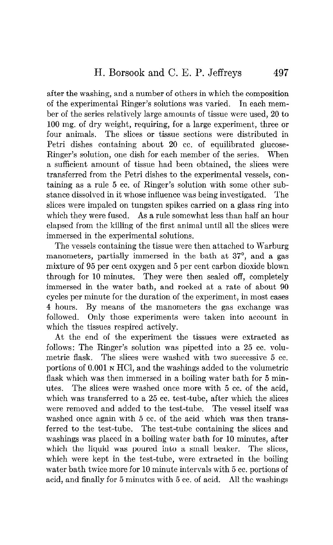after the washing, and a number of others in which the composition of the experimental Ringer's solutions was varied. In each member of the series relatively large amounts of tissue were used, 20 to 100 mg. of dry weight, requiring, for a large experiment, three or four animals. The slices or tissue sections were distributed in Petri dishes containing about 20 cc. of equilibrated glucose-Ringer's solution, one dish for each member of the series. When a sufficient amount of tissue had been obtained, the slices were transferred from the Petri dishes to the experimental vessels, containing as a rule 5 cc. of Ringer's solution with some other substance dissolved in it whose influence was being investigated. The slices were impaled on tungsten spikes carried on a glass ring into which they were fused. As a rule somewhat less than half an hour elapsed from the killing of the first animal until all the slices were immersed in the experimental solutions.

The vessels containing the tissue were then attached to Warburg manometers, partially immersed in the bath at 37<sup>°</sup>, and a gas mixture of 95 per cent oxygen and 5 per cent carbon dioxide blown through for 10 minutes. They were then sealed off, completely immersed in the water bath, and rocked at a rate of about 90 cycles per minute for the duration of the experiment, in most cases 4 hours. By means of the manometers the gas exchange was followed. Only those experiments were taken into account in which the tissues respired actively.

At the end of the experiment the tissues were extracted as follows: The Ringer's solution was pipetted into a 25 cc. volumetric flask. The slices were washed with two successive 5 cc. portions of 0.001 N HCl, and the washings added to the volumetric flask which was then immersed in a boiling water bath for 5 minutes. The slices were washed once more with 5 cc. of the acid, which was transferred to a 25 cc. test-tube, after which the slices were removed and added to the test-tube. The vessel itself was washed once again with 5 cc. of the acid which was then transferred to the test-tube. The test-tube containing the slices and washings was placed in a boiling water bath for 10 minutes, after which the liquid was poured into a small beaker. The slices, which were kept in the test-tube, were extracted in the boiling water bath twice more for 10 minute intervals with 5 cc. portions of acid, and finally for 5 minutes with 5 cc. of acid. All the washings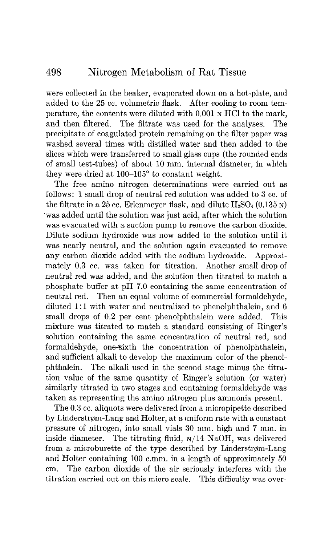#### 498 Nitrogen Metabolism of Rat Tissue

were collected in the beaker, evaporated down on a hot-plate, and added to the 25 cc. volumetric flask. After cooling to room temperature, the contents were diluted with 0.001 N HCl to the mark, and then filtered. The filtrate was used for the analyses. The precipitate of coagulated protein remaining on the filter paper was washed several times with distilled water and then added to the slices which were transferred to small glass cups (the rounded ends of small test-tubes) of about 10 mm. internal diameter, in which they were dried at 100-105" to constant weight.

The free amino nitrogen determinations were carried out as follows: 1 small drop of neutral red solution was added to 3 cc. of the filtrate in a 25 cc. Erlenmeyer flask, and dilute  $H_2SO_4$  (0.135 N) 'was added until the solution was just acid, after which the solution was evacuated with a suction pump to remove the carbon dioxide. Dilute sodium hydroxide was now added to the solution until it was nearly neutral, and the solution again evacuated to remove any carbon dioxide added with the sodium hydroxide. Approximately 0.3 cc. was taken for titration. Another small drop of neutral red was added, and the solution then titrated to match a phosphate buffer at pH 7.0 containing the same concentration of neutral red. Then an equal volume of commercial formaldehyde, diluted 1:1 with water and neutralized to phenolphthalein, and 6 small drops of 0.2 per cent phenolphthalein were added. This mixture was titrated to match a standard consisting of Ringer's solution containing the same concentration of neutral red, and formaldehyde, one-sixth the concentration of phenolphthalein, and sufficient alkali to develop the maximum color of the phenolphthalein. The alkali used in the second stage minus the titration value of the same quantity of Ringer's solution (or water) similarly titrated in two stages and containing formaldehyde was taken as representing the amino nitrogen plus ammonia present.

The 0.3 cc. aliquots were delivered from a micropipette described by Linderstrøm-Lang and Holter, at a uniform rate with a constant pressure of nitrogen, into small vials 30 mm. high and 7 mm. in inside diameter. The titrating fluid,  $N/14$  NaOH, was delivered from a microburette of the type described by Linderstrøm-Lang and Holter containing 100 c.mm. in a length of approximately 50 cm. The carbon dioxide of the air seriously interferes with the titration carried out on this micro scale. This difficulty was over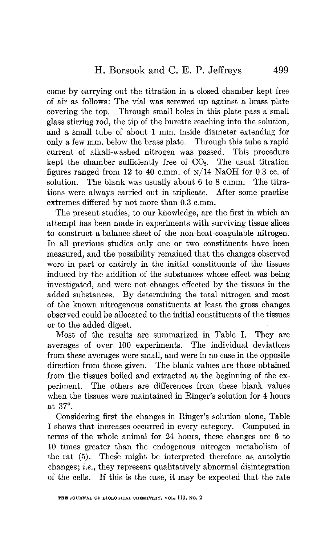come by carrying out the titration in a closed chamber kept free of air as follows: The vial was screwed up against a brass plate covering the top. Through small holes in this plate pass a small glass stirring rod, the tip of the burette reaching into the solution, and a small tube of about 1 mm. inside diameter extending for only a few mm. below the brass plate. Through this tube a rapid current of alkali-washed nitrogen was passed. This procedure kept the chamber sufficiently free of  $CO<sub>2</sub>$ . The usual titration figures ranged from 12 to 40 c.mm. of  $\frac{\text{N}}{14}$  NaOH for 0.3 cc. of solution. The blank was usually about 6 to 8 c.mm. The titrations were always carried out in triplicate. After some practise extremes differed by not more than 0.3 c.mm.

The present studies, to our knowledge, are the first in which an attempt has been made in experiments with surviving tissue slices to construct a balance sheet of the non-heat-coagulable nitrogen. In all previous studies only one or two constituents have been measured, and the possibility remained that the changes observed were in part or entirely in the initial constituents of the tissues induced by the addition of the substances whose effect was being investigated, and were not changes effected by the tissues in the added substances. By determining the total nitrogen and most of the known nitrogenous constituents at least the gross changes observed could be allocated to the initial constituents of the tissues or to the added digest.

Most of the results are summarized in Table I. They are averages of over 100 experiments. The individual deviations from these averages were small, and were in no case in the opposite direction from those given. The blank values are those obtained from the tissues boiled and extracted at the beginning of the experiment. The others are differences from these blank values when the tissues were maintained in Ringer's solution for 4 hours at 37".

Considering first the changes in Ringer's solution alone, Table I shows that increases occurred in every category. Computed in terms of the whole animal for 24 hours, these changes are 6 to 10 times greater than the endogenous nitrogen metabolism of the rat (5). Thes'e might be interpreted therefore as. autolytic changes; i.e., they represent qualitatively abnormal disintegration of the cells. If this is the case, it may be expected that the rate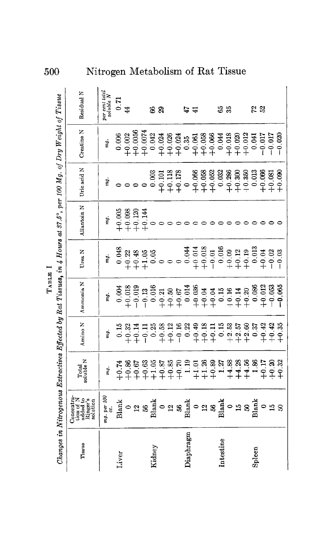| 0                                                                                                                    |                                                                                                                                                  | Nitrogen Metabolism of Rat Tissue                                                                         |              |                                                                                                                                                                                                                                                                                                                                                     |  |        |                                                                                                                                                                                             |  |           |   |  |           |  |               |                                  |                               |          |
|----------------------------------------------------------------------------------------------------------------------|--------------------------------------------------------------------------------------------------------------------------------------------------|-----------------------------------------------------------------------------------------------------------|--------------|-----------------------------------------------------------------------------------------------------------------------------------------------------------------------------------------------------------------------------------------------------------------------------------------------------------------------------------------------------|--|--------|---------------------------------------------------------------------------------------------------------------------------------------------------------------------------------------------|--|-----------|---|--|-----------|--|---------------|----------------------------------|-------------------------------|----------|
|                                                                                                                      | Residual N                                                                                                                                       | $\begin{array}{l} \hspace{-20pt}\textit{per cent total}\\ \hspace{-20pt}\textit{soluble $N$} \end{array}$ | $0.71$<br>44 |                                                                                                                                                                                                                                                                                                                                                     |  | ಜಿ ಇ   |                                                                                                                                                                                             |  | 47        | 住 |  | 65<br>35  |  | $\frac{2}{5}$ |                                  |                               |          |
|                                                                                                                      | Creatine N                                                                                                                                       | mg.                                                                                                       | 0.006        |                                                                                                                                                                                                                                                                                                                                                     |  |        |                                                                                                                                                                                             |  |           |   |  |           |  | 0.041         | $-0.017$                         | $-0.017$                      | $-0.020$ |
|                                                                                                                      | Uric acid N                                                                                                                                      | mg.                                                                                                       |              | 0000                                                                                                                                                                                                                                                                                                                                                |  | 0.003  |                                                                                                                                                                                             |  |           |   |  |           |  |               | $+0.066$<br>$+0.081$<br>$+0.090$ |                               |          |
| Changes in Nitrogenous Extractives Effected by Rat Tissues, in 4 Hours at 37.5°, per 100 Mg. of Dry Weight of Tissue | Allantoin N                                                                                                                                      | mg.                                                                                                       |              | $+0.005$<br>$+0.098$<br>$+0.120$<br>$+0.144$                                                                                                                                                                                                                                                                                                        |  |        |                                                                                                                                                                                             |  |           |   |  |           |  |               |                                  |                               |          |
|                                                                                                                      | Urea N                                                                                                                                           | mg.                                                                                                       | 0.048        |                                                                                                                                                                                                                                                                                                                                                     |  |        | $33.39.89.8$<br>$33.39.89.8$<br>$34.39.89.8$<br>$35.39.8$<br>$36.39.8$<br>$37.39.8$<br>$38.39.8$<br>$39.39.8$<br>$39.39.8$<br>$39.39.8$<br>$39.39.8$<br>$39.39.8$<br>$39.39.8$<br>$39.39.8$ |  |           |   |  |           |  |               |                                  |                               |          |
|                                                                                                                      | Ammonia N                                                                                                                                        | mg.                                                                                                       |              |                                                                                                                                                                                                                                                                                                                                                     |  |        |                                                                                                                                                                                             |  |           |   |  |           |  |               |                                  | $-0.053$<br>$-0.065$          |          |
|                                                                                                                      | Amino N                                                                                                                                          | mg.                                                                                                       | 0.15         |                                                                                                                                                                                                                                                                                                                                                     |  |        | $22471288212882112858585$                                                                                                                                                                   |  |           |   |  |           |  |               |                                  | $+0.43$<br>$+0.35$<br>$+0.35$ |          |
|                                                                                                                      | Total<br>soluble N                                                                                                                               |                                                                                                           |              |                                                                                                                                                                                                                                                                                                                                                     |  |        |                                                                                                                                                                                             |  |           |   |  |           |  |               |                                  |                               |          |
|                                                                                                                      | $\begin{array}{l} \text{Concentra-} \\ \text{tion of N} \\ \text{added to} \\ \text{Ringer's} \\ \text{Kinger's} \\ \text{solution} \end{array}$ | mg. per 106                                                                                               |              | $\begin{picture}(18,10) \put(0,0){\line(1,0){15}} \put(10,0){\line(1,0){15}} \put(10,0){\line(1,0){15}} \put(10,0){\line(1,0){15}} \put(10,0){\line(1,0){15}} \put(10,0){\line(1,0){15}} \put(10,0){\line(1,0){15}} \put(10,0){\line(1,0){15}} \put(10,0){\line(1,0){15}} \put(10,0){\line(1,0){15}} \put(10,0){\line(1,0){15}} \put(10,0){\line(1$ |  |        |                                                                                                                                                                                             |  |           |   |  |           |  |               |                                  |                               |          |
|                                                                                                                      | Tissue                                                                                                                                           |                                                                                                           | Liver        |                                                                                                                                                                                                                                                                                                                                                     |  | Kidney |                                                                                                                                                                                             |  | Diaphragm |   |  | Intestine |  | Spleen        |                                  |                               |          |

 $\mathrm{T}_\mathrm{ABLB}$ I TABLE I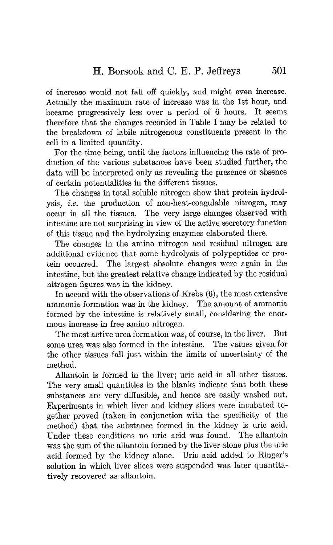of increase would not fall off quickly, and might even increase. Actually the maximum rate of increase was in the 1st hour, and became progressively less over a period of 6 hours. It seems therefore that the changes recorded in Table I may be related to the breakdown of labile nitrogenous constituents present in the cell in a limited quantity.

For the time being, until the factors influencing the rate of production of the various substances have been studied further, the data will be interpreted only as revealing the presence or absence of certain potentialities in the different tissues.

The changes in total soluble nitrogen show that protein hydrolysis, i.e. the production of non-heat-coagulable nitrogen, may occur in all the tissues. The very large changes observed with intestine are not surprising in view of the active secretory function of this tissue and the hydrolyzing enzymes elaborated there.

The changes in the amino nitrogen and residual nitrogen are additional evidence that some hydrolysis of polypeptides or protein occurred. The largest absolute changes were again in the intestine, but the greatest relative change indicated by the residual nitrogen figures was in the kidney.

In accord with the observations of Krebs (6), the most extensive ammonia formation was in the kidney. The amount of ammonia formed by the intestine is relatively small, considering the enormous increase in free amino nitrogen.

The most active urea formation was, of course, in the liver. But some urea was also formed in the intestine. The values given for the other tissues fall just within the limits of uncertainty of the method.

Allantoin is formed in the liver; uric acid in all other tissues. The very small quantities in the blanks indicate that both these substances are very diffusible, and hence are easily washed out. Experiments in which liver and kidney slices were incubated together proved (taken in conjunction with the specificity of the method) that the substance formed in the kidney is uric acid. Under these conditions no uric acid was found. The allantoin was the sum of the allantoin formed by the liver alone plus the uric acid formed by the kidney alone. Uric acid added to Ringer's solution in which liver slices were suspended was later quantitatively recovered as allantoin.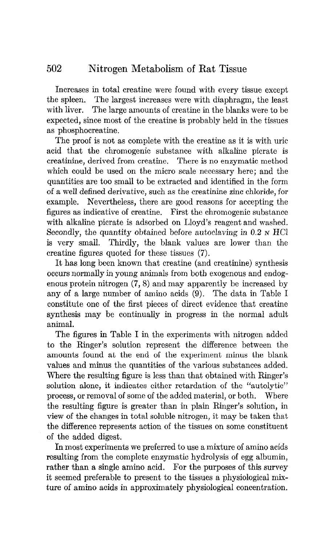# 502 Nitrogen Metabolism of Rat Tissue

Increases in total creatine were found with every tissue except the spleen. The largest increases were with diaphragm, the least with liver. The large amounts of creatine in the blanks were to be expected, since most of the creatine is probably held in the tissues as phosphocreatine.

The proof is not as complete with the creatine as it is with uric acid that the chromogenic substance with aIkaIine picrate is creatinine, derived from creatine. There is no enzymatic method which could be used on the micro scale necessary here; and the quantities are too small to be extracted and identified in the form of a well defined derivative, such as the creatinine zinc chloride, for example. Nevertheless, there are good reasons for accepting the figures as indicative of creatine. First the chromogenic substance with alkaline picrate is adsorbed on Lloyd's reagent and washed. Secondly, the quantity obtained before autoclaving in  $0.2 \text{ N HCl}$ is very small. Thirdly, the blank values are lower than the creatine figures quoted for these tissues (7).

It has long been known that creatine (and creatinine) synthesis occurs normally in young animals from both exogenous and endogenous protein nitrogen  $(7, 8)$  and may apparently be increased by any of a large number of amino acids (9). The data in Table I constitute one of the first pieces of direct evidence that creatine synthesis may be continually in progress in the normal adult animal.

The figures in Table I in the experiments with nitrogen added to the Ringer's solution represent the difference between the amounts found at the end of the experiment minus the blank values and minus the quantities of the various substances added. Where the resulting figure is less than that obtained with Ringer's solution alone, it indicates either retardation of the "autolytic" process, or removal of some of the added material, or both. Where the resulting figure is greater than in plain Ringer's solution, in view of the changes in total soluble nitrogen, it may be taken that the difference represents action of the tissues on some constituent of the added digest.

In most experiments we preferred to use a mixture of amino acids resulting from the complete enzymatic hydrolysis of egg albumin, resume it and the complete entrymatic hydrotysis of the amount rather than a single anniho acid. For the purposes of this survey it seemed preferable to present to the tissues a physiological mix-<br>ture of amino acids in approximately physiological concentration.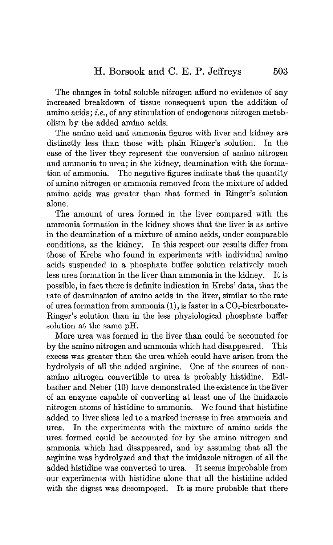The changes in total soluble nitrogen afford no evidence of any increased breakdown of tissue consequent upon the addition of amino acids; i.e., of any stimulation of endogenous nitrogen metabolism by the added amino acids.

The amino acid and ammonia figures with liver and kidney are distinctly less than those with plain Ringer's solution. In the case of the liver they represent the conversion of amino nitrogen and ammonia to urea; in the kidney, deamination with the formation of ammonia. The negative figures indicate that the quantity of amino nitrogen or ammonia removed from the mixture of added amino acids was greater than that formed in Ringer's solution alone.

The amount of urea formed in the liver compared with the ammonia formation in the kidney shows that the liver is as active in the deamination of a mixture of amino acids, under comparable conditions, as the kidney. In this respect our results differ from those of Krebs who found in experiments with individual amino acids suspended in a phosphate buffer solution relatively much less urea formation in the liver than ammonia in the kidney. It is possible, in fact there is definite indication in Krebs' data, that the rate of deamination of amino acids in the liver, similar to the rate of urea formation from ammonia (1), is faster in a  $CO<sub>2</sub>$ -bicarbonate-Ringer's solution than in the less physiological phosphate buffer solution at the same pH.

More urea was formed in the liver than could be accounted for by the amino nitrogen and ammonia which had disappeared. This excess was greater than the urea which could have arisen from the hydrolysis of all the added arginine. One of the sources of nonamino nitrogen convertible to urea is probably histidine. Edlbather and Neber (10) have demonstrated the existence in the liver of an enzyme capable of converting at least one of the imidazole nitrogen atoms of histidine to ammonia. We found that histidine added to liver slices led to a marked increase in free ammonia and urea. In the experiments with the mixture of amino acids the urea formed could be accounted for by the amino nitrogen and ammonia which had disappeared, and by assuming that all the arginine was hydrolyzed and that the imidazole nitrogen of all the added histidine was converted to urea. It seems improbable from our experiments with histidine alone that all the histidine added with the digest was decomposed. It is more probable that there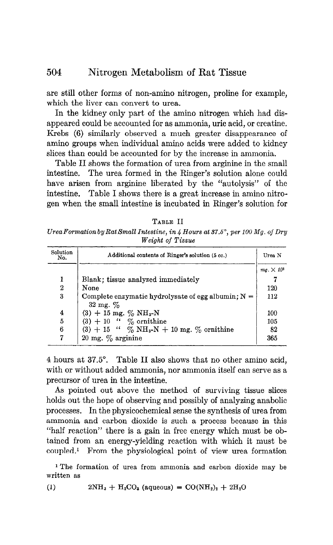are still other forms of non-amino nitrogen, proline for example, which the liver can convert to urea.

In the kidney only part of the amino nitrogen which had disappeared could be accounted for as ammonia, uric acid, or creatine. Krebs (6) similarly observed a much greater disappearance of amino groups when individual amino acids were added to kidney slices than could be accounted for by the increase in ammonia.

Table II shows the formation of urea from arginine in the small intestine. The urea formed in the Ringer's solution alone could have arisen from arginine liberated by the "autolysis" of the intestine. Table I shows there is a great increase in amino nitrogen when the small intestine is incubated in Ringer's solution for

TABLE II  $U$ rea  $\emph{Formation by Rat Small Intestimate},$  in 4  $\emph{House}$  at 37.5°, per 100  $\emph{Mg. of Dr}$ Weight of Tissue

| Solution<br>No.  | Additional contents of Ringer's solution (5 cc.)       |                  |  |  |  |
|------------------|--------------------------------------------------------|------------------|--|--|--|
|                  |                                                        | $ma \times 10^3$ |  |  |  |
| 1                | Blank; tissue analyzed immediately                     |                  |  |  |  |
| $\boldsymbol{2}$ | None                                                   | 120              |  |  |  |
| 3                | Complete enzymatic hydrolysate of egg albumin; $N =$   | 112              |  |  |  |
|                  | $32 \text{ mg}$ . $\%$                                 |                  |  |  |  |
| 4                | $(3) + 15$ mg. % NH <sub>3</sub> -N                    | 100              |  |  |  |
| 5                | $(3) + 10$ " % ornithine                               | 105              |  |  |  |
| 6                | $(3) + 15$ " % NH <sub>3</sub> -N + 10 mg. % ornithine | 82               |  |  |  |
| 7                | 20 mg. $\%$ arginine                                   | 365              |  |  |  |

4 hours at 37.5". Table II also shows that no other amino acid, with or without added ammonia, nor ammonia itself can serve as a precursor of urea in the intestine.

As pointed out above the method of surviving tissue slices holds out the hope of observing and possibly of analyzing anabolic processes. In the physicochemical sense the synthesis of urea from ammonia and carbon dioxide is such a process because in this "half reaction" there is a gain in free energy which must be obtained from an energy-yielding reaction with which it must be coupled.' From the physiological point of view urea formation

1 The formation of urea from ammonia and carbon dioxide may be written as

(1)  $2NH_3 + H_2CO_3$  (aqueous) =  $CO(NH_2)_2 + 2H_2O$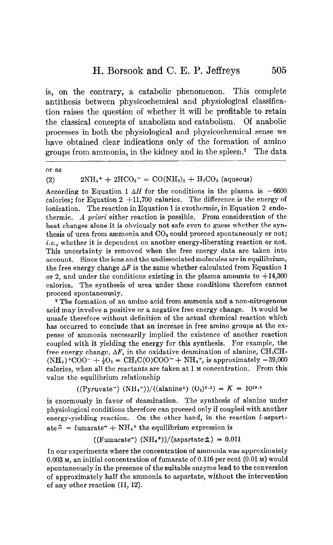## H. Borsook and C. E. P. Jeffreys

is, on the contrary, a catabolic phenomenon. This complete antithesis between physicochemical and physiological classification raises the question of whether it will be profitable to retain the classical concepts of anabolism and catabolism. Of anabolic processes in both the physiological and physicochemical sense we have obtained clear indications only of the formation of amino groups from ammonia, in the kidney and in the spleen.2 The data

or as

## (2)  $2NH_4^+ + 2HCO_3^- = CO(NH_2)_2 + H_2CO_3$  (aqueous)

According to Equation 1  $\Delta H$  for the conditions in the plasma is -6600 calories; for Equation  $2 +11,700$  calories. The difference is the energy of ionization. The reaction in Equation 1 is exothermic, in Equation 2 endothermic. A priori either reaction is possible. From consideration of the heat changes alone it is obviously not safe even to guess whether the synthesis of urea from ammonia and  $CO<sub>2</sub>$  could proceed spontaneously or not; i.e., whether it is dependent on another energy-liberating reaction or not. This uncertainty is removed when the free energy data are taken into account. Since the ions and the undissociated molecules are in equilibrium, the free energy change  $\Delta F$  is the same whether calculated from Equation 1 or 2, and under the conditions existing in the plasma amounts to  $+14,300$ calories. The synthesis of urea under these conditions therefore cannot proceed spontaneously.

2 The formation of an amino acid from ammonia and a non-nitrogenous acid may involve a positive or a negative free energy change. It would be unsafe therefore without definition of the actual chemical reaction which has occurred to conclude that an increase in free amino groups at the expense of ammonia necessarily implied the existence of another reaction coupled with it yielding the energy for this synthesis. For example, the free energy change,  $\Delta F$ , in the oxidative deamination of alanine, CH<sub>3</sub>CH- $(NH_3)^+COO^- + \frac{1}{2}O_2 = CH_3C(O)COO^- + NH_4^+$ , is approximately -39,000 calories, when all the reactants are taken at 1 M concentration. From this value the equilibrium relationship

$$
((\text{Pyruvate}^{-}) (\text{NH}_4^+))/((\text{alanine}^{\pm}) (\text{O}_2)^{0.5}) = K = 10^{29.3}
$$

is enormously in favor of deamination. The synthesis of alanine under physiological conditions therefore can proceed only if coupled with another energy-yielding reaction. On the other hand, in the reaction *l*-aspart- $\alpha t e^{\pm}$  = fumarate<sup>-</sup> + NH<sub>4</sub><sup>+</sup> the equilibrium expression is

 $((\text{Fumarate}^-) (\text{NH}_4^+))/(\text{aspartate} \pm) = 0.011$ 

In our experiments where the concentration of ammonia was approximately 0.003 M, an initial concentration of fumarate of 0.116 per cent (0.01 M) would spontaneously in the presence of the suitable enzyme lead to the conversion of approximately half the ammonia to aspartate, without the intervention of any other reaction (11, 12).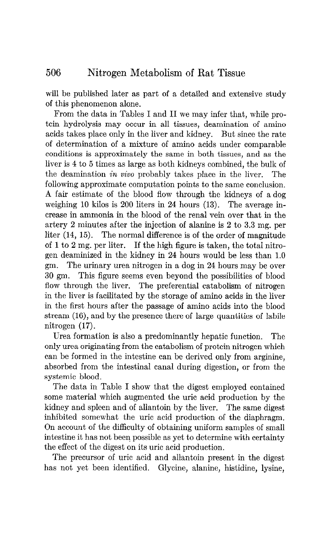will be published later as part of a detailed and extensive study of this phenomenon alone.

From the data in Tables I and II we may infer that, while protein hydrolysis may occur in all tissues, deamination of amino acids takes place only in the liver and kidney. But since the rate of determination of a mixture of amino acids under comparable conditions is approximately the same in both tissues, and as the liver is 4 to 5 times as large as both kidneys combined, the bulk of the deamination in vivo probably takes place in the liver. The following approximate computation points to the same conclusion. A fair estimate of the blood flow through the kidneys of a dog weighing 10 kilos is 200 liters in 24 hours (13). The average increase in ammonia in the blood of the renal vein over that in the artery 2 minutes after the injection of alanine is 2 to 3.3 mg. per liter (14, 15). The normal difference is of the order of magnitude of 1 to 2 mg. per liter. If the high figure is taken, the total nitrogen deaminized in the kidney in 24 hours would be less than 1.0 gm. The urinary urea nitrogen in a dog in 24 hours may be over 30 gm. This figure seems even beyond the possibilities of blood flow through the liver. The preferential catabolism of nitrogen in the liver is facilitated by the storage of amino acids in the liver in the first hours after the passage of amino acids into the blood stream (16), and by the presence there of large quantities of labile nitrogen (17).

Urea formation is also a predominantly hepatic function. The only urea originating from the catabolism of protein nitrogen which can be formed in the intestine can be derived only from arginine, absorbed from the intestinal canal during digestion, or from the systemic blood.

The data in Table I show that the digest employed contained some material which augmented the uric acid production by the kidney and spleen and of allantoin by the liver. The same digest inhibited somewhat the uric acid production of the diaphragm. On account of the difficulty of obtaining uniform samples of small intestine it has not been possible as yet to determine with certainty the effect of the digest on its uric acid production.

The precursor of uric acid and allantoin present in the digest has not yet been identified. Glycine, alanine, histidine, lysine,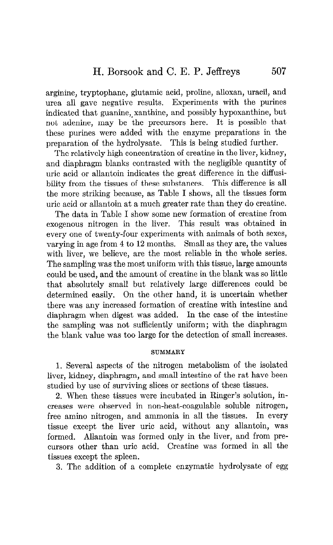arginine, tryptophane, glutamic acid, proline, alloxan, uracil, and urea all gave negative results. Experiments with the purines indicated that guanine, xanthine, and possibly hypoxanthine, but not adenine, may be the precursors here. It is possible that these purines were added with the enzyme preparations in the preparation of the hydrolysate. This is being studied further.

The relatively high concentration of creatine in the liver, kidney, and diaphragm blanks contrasted with the negligible quantity of uric acid or allantoin indicates the great difference in the diffusibility from the tissues of these substances. This difference is all the more striking because, as Table I shows, all the tissues form uric acid or allantoin at a much greater rate than they do creatine.

The data in Table I show some new formation of creatine from exogenous nitrogen in the liver. This result was obtained in every one of twenty-four experiments with animals of both sexes, varying in age from 4 to 12 months. Small as they are, the values with liver, we believe, are the most reliable in the whole series. The sampling was the most uniform with this tissue, large amounts could be used, and the amount of creatine in the blank was so little that absolutely small but relatively large differences could be determined easily. On the other hand, it is uncertain whether there was any increased formation of creatine with intestine and diaphragm when digest was added. In the case of the intestine the sampling was not sufficiently uniform; with the diaphragm the blank value was too large for the detection of small increases.

## SUMMARY

1. Several aspects of the nitrogen metabolism of the isolated liver, kidney, diaphragm, and small intestine of the rat have been studied by use of surviving slices or sections of these tissues.

2. When these tissues were incubated in Ringer's solution, increases were observed in non-heat-coagulable soluble nitrogen, free amino nitrogen, and ammonia in all the tissues. In every tissue except the liver uric acid, without any allantoin, was formed. Allantoin was formed only in the liver, and from precursors other than uric acid. Creatine was formed in all the tissues except the spleen.

3. The addition of a complete enzymatic hydrolysate of egg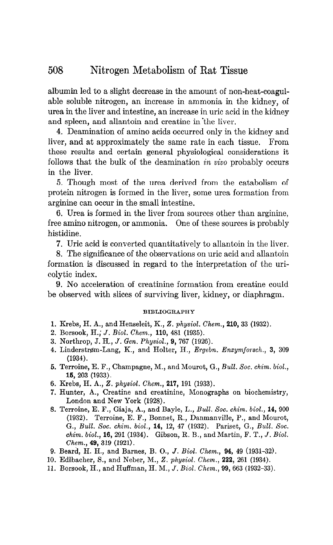#### 508 Nitrogen Metabolism of Rat Tissue

albumin led to a slight decrease in the amount of non-heat-coagulable soluble nitrogen, an increase in ammonia in the kidney, of urea in the liver and intestine, an increase in uric acid in the kidney and spleen, and allantoin and creatine in'the liver.

4. Deamination of amino acids occurred only in the kidney and liver, and at approximately the same rate in each tissue. From these results and certain general physiological considerations it follows that the bulk of the deamination in vivo probably occurs in the liver.

5. Though most of the urea derived from the catabolism of protein nitrogen is formed in the liver, some urea formation from arginine can occur in the small intestine.

6. Urea is formed in the liver from sources other than arginine, free amino nitrogen, or ammonia. One of these sources is probably histidine.

7. Uric acid is converted quantitatively to allantoin in the liver.

8. The significance of the observations on uric acid and allantoin formation is discussed in regard to the interpretation of the uricolytic index.

9. No acceleration of creatinine formation from creatine could be observed with slices of surviving liver, kidney, or diaphragm.

## BIBLIOGRAPHY

- 1. Krebs, H. A., and Henseleit, K., 2. physiol. Chem., 210, 33 (1932).
- 2. Borsook, H.; J. Biol. Chem., 110, 481 (1935).
- 3. Northrop, J. H., J. Gen. Physiol., 9, 767 (1926).
- 4. Linderstrøm-Lang, K., and Holter, H., Ergebn. Enzymforsch., 3, 309 (1934).
- 5. Terroine, E. F., Champagne, M., and Mourot, G., Bull. Soc. chim. biol., 16, 203 (1933).
- 6. Krebs, H. A., 2. physiol. Chem., 217, 191 (1933).
- 7. Hunter, A., Creatine and creatinine, Monographs on biochemistry, London and New York (1928).
- 8. Terroine, E. F., Giaja, A., and Bayle, L., Bull. Soc. chim. biol., 14, 900 (1932). Terroine, E. F., Bonnet, R., Danmanville, P., and Mourot,  $G = D_{111} + S_{12} + S_{13} + S_{14} + S_{15} + S_{16} + S_{17} + S_{18} + S_{19} + S_{19} + S_{10} + S_{11} + S_{10} + S_{11} + S_{12} + S_{13} + S_{14} + S_{15} + S_{16} + S_{17} + S_{18} + S_{19} + S_{10} + S_{11} + S_{10} + S_{11} + S_{11} + S_{12} + S_{13} + S_{14} + S_{15} + S_{16} + S_{17} + S_{18} + S_{19} + S_{10} + S$ chi, Dubli Doc. 66666, 2006, 22, 22, 31 (2002). Turnoot, Gi, Dubli Doc.<br>J.L. J.L. 40, 901 (1994). Gilman D.D. and Martin, F. M. Z. D. B *chim. biol.*, **16**, 291 (1934). Gibson, R. B., and Martin, F. T., *J. Biol. Chem.*, **49**, 319 (1921).
- 9. Beard, H. H., and Barnes, B. O., J. Biol. Chem., 94, 49 (1931-32). 10. Education St. and Burnov, B. C., 8. Beach Chem., 82, 16 (1931 022).<br>10. Edilbacher, S. and Neber, M., Z. physiol. Chem., 222, 261 (1924).
- 10. Borowing, H., and Huber, H., B. *physics.* Chem., **Exa,** 201 (1961).
-